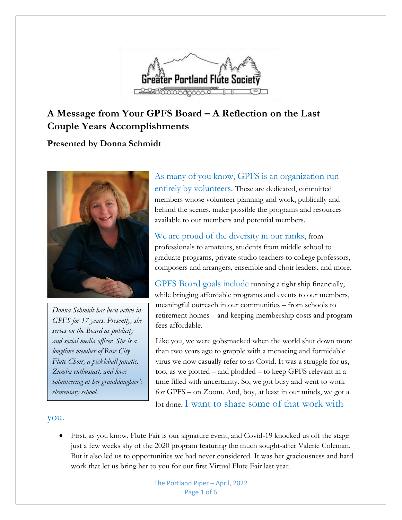

### **A Message from Your GPFS Board – A Reflection on the Last Couple Years Accomplishments**

### **Presented by Donna Schmidt**



*Donna Schmidt has been active in GPFS for 17 years. Presently, she serves on the Board as publicity and social media officer. She is a longtime member of Rose City Flute Choir, a pickleball fanatic, Zumba enthusiast, and loves volunteering at her granddaughter's elementary school.*

As many of you know, GPFS is an organization run entirely by volunteers. These are dedicated, committed members whose volunteer planning and work, publically and behind the scenes, make possible the programs and resources available to our members and potential members.

We are proud of the diversity in our ranks, from professionals to amateurs, students from middle school to graduate programs, private studio teachers to college professors, composers and arrangers, ensemble and choir leaders, and more.

GPFS Board goals include running a tight ship financially, while bringing affordable programs and events to our members, meaningful outreach in our communities – from schools to retirement homes – and keeping membership costs and program fees affordable.

Like you, we were gobsmacked when the world shut down more than two years ago to grapple with a menacing and formidable virus we now casually refer to as Covid. It was a struggle for us, too, as we plotted – and plodded – to keep GPFS relevant in a time filled with uncertainty. So, we got busy and went to work for GPFS – on Zoom. And, boy, at least in our minds, we got a lot done. I want to share some of that work with

#### you.

• First, as you know, Flute Fair is our signature event, and Covid-19 knocked us off the stage just a few weeks shy of the 2020 program featuring the much sought-after Valerie Coleman. But it also led us to opportunities we had never considered. It was her graciousness and hard work that let us bring her to you for our first Virtual Flute Fair last year.

> The Portland Piper – April, 2022 Page 1 of 6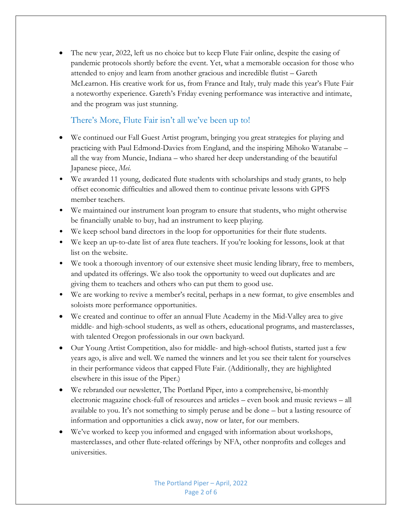• The new year, 2022, left us no choice but to keep Flute Fair online, despite the easing of pandemic protocols shortly before the event. Yet, what a memorable occasion for those who attended to enjoy and learn from another gracious and incredible flutist – Gareth McLearnon. His creative work for us, from France and Italy, truly made this year's Flute Fair a noteworthy experience. Gareth's Friday evening performance was interactive and intimate, and the program was just stunning.

#### There's More, Flute Fair isn't all we've been up to!

- We continued our Fall Guest Artist program, bringing you great strategies for playing and practicing with Paul Edmond-Davies from England, and the inspiring Mihoko Watanabe – all the way from Muncie, Indiana – who shared her deep understanding of the beautiful Japanese piece, *Mei*.
- We awarded 11 young, dedicated flute students with scholarships and study grants, to help offset economic difficulties and allowed them to continue private lessons with GPFS member teachers.
- We maintained our instrument loan program to ensure that students, who might otherwise be financially unable to buy, had an instrument to keep playing.
- We keep school band directors in the loop for opportunities for their flute students.
- We keep an up-to-date list of area flute teachers. If you're looking for lessons, look at that list on the website.
- We took a thorough inventory of our extensive sheet music lending library, free to members, and updated its offerings. We also took the opportunity to weed out duplicates and are giving them to teachers and others who can put them to good use.
- We are working to revive a member's recital, perhaps in a new format, to give ensembles and soloists more performance opportunities.
- We created and continue to offer an annual Flute Academy in the Mid-Valley area to give middle- and high-school students, as well as others, educational programs, and masterclasses, with talented Oregon professionals in our own backyard.
- Our Young Artist Competition, also for middle- and high-school flutists, started just a few years ago, is alive and well. We named the winners and let you see their talent for yourselves in their performance videos that capped Flute Fair. (Additionally, they are highlighted elsewhere in this issue of the Piper.)
- We rebranded our newsletter, The Portland Piper, into a comprehensive, bi-monthly electronic magazine chock-full of resources and articles – even book and music reviews – all available to you. It's not something to simply peruse and be done – but a lasting resource of information and opportunities a click away, now or later, for our members.
- We've worked to keep you informed and engaged with information about workshops, masterclasses, and other flute-related offerings by NFA, other nonprofits and colleges and universities.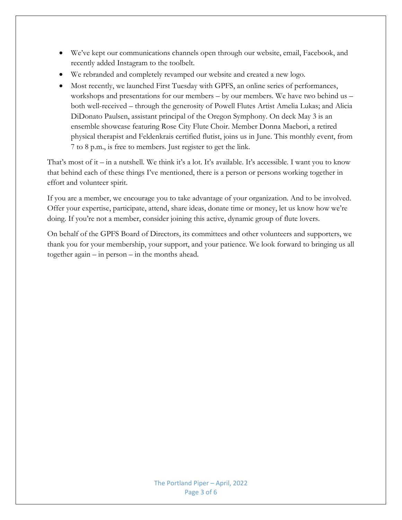- We've kept our communications channels open through our website, email, Facebook, and recently added Instagram to the toolbelt.
- We rebranded and completely revamped our website and created a new logo.
- Most recently, we launched First Tuesday with GPFS, an online series of performances, workshops and presentations for our members – by our members. We have two behind us – both well-received – through the generosity of Powell Flutes Artist Amelia Lukas; and Alicia DiDonato Paulsen, assistant principal of the Oregon Symphony. On deck May 3 is an ensemble showcase featuring Rose City Flute Choir. Member Donna Maebori, a retired physical therapist and Feldenkrais certified flutist, joins us in June. This monthly event, from 7 to 8 p.m., is free to members. Just register to get the link.

That's most of it – in a nutshell. We think it's a lot. It's available. It's accessible. I want you to know that behind each of these things I've mentioned, there is a person or persons working together in effort and volunteer spirit.

If you are a member, we encourage you to take advantage of your organization. And to be involved. Offer your expertise, participate, attend, share ideas, donate time or money, let us know how we're doing. If you're not a member, consider joining this active, dynamic group of flute lovers.

On behalf of the GPFS Board of Directors, its committees and other volunteers and supporters, we thank you for your membership, your support, and your patience. We look forward to bringing us all together again – in person – in the months ahead.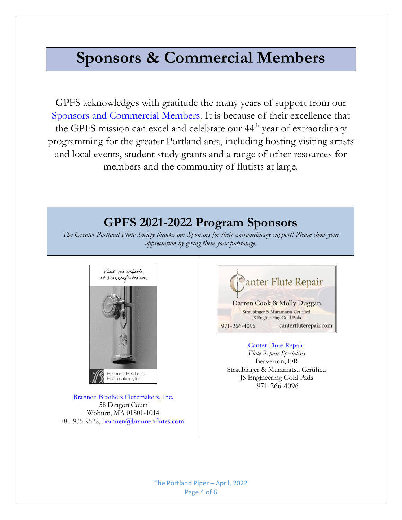# **Sponsors & Commercial Members**

GPFS acknowledges with gratitude the many years of support from our [Sponsors and Commercial Members.](https://gpfs.org/Commercial-Membership) It is because of their excellence that the GPFS mission can excel and celebrate our 44<sup>th</sup> year of extraordinary programming for the greater Portland area, including hosting visiting artists and local events, student study grants and a range of other resources for members and the community of flutists at large.

## **GPFS 2021-2022 Program Sponsors**

*The Greater Portland Flute Society thanks our Sponsors for their extraordinary support! Please show your appreciation by giving them your patronage.*



[Brannen Brothers Flutemakers, Inc.](https://www.brannenflutes.com/) 58 Dragon Court Woburn, MA 01801-1014 781-935-9522[, brannen@brannenflutes.com](mailto:brannen@brannenflutes.com)



#### [Canter Flute Repair](https://www.canterfluterepair.com/)

*Flute Repair Specialists* Beaverton, OR Straubinger & Muramatsu Certified JS Engineering Gold Pads 971-266-4096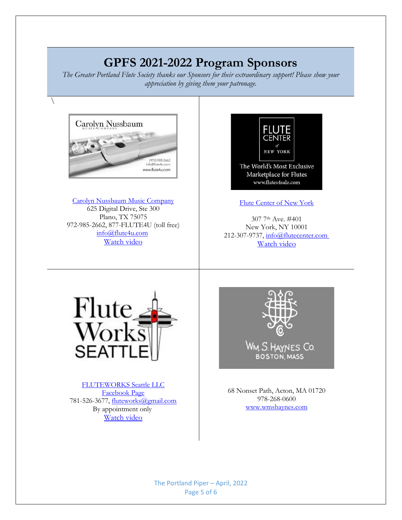# **GPFS 2021-2022 Program Sponsors**

*The Greater Portland Flute Society thanks our Sponsors for their extraordinary support! Please show your appreciation by giving them your patronage.*



 $\setminus$ 

[Carolyn Nussbaum Music Company](http://www.flute4u.com/) 625 Digital Drive, Ste 300 Plano, TX 75075 972-985-2662, 877-FLUTE4U (toll free) [info@flute4u.com](mailto:info@flute4u.com) [Watch video](https://www.youtube.com/watch?v=ashTD0kCzNE)



[Flute Center of New York](http://www.flutes4sale.com/)

307 7th Ave. #401 New York, NY 10001 212-307-9737, [info@flutecenter.com](https://d.docs.live.net/b7076dfbb4084dbc/Documents/info@flutecenter.com ) [Watch video](https://app.salesforceiq.com/r?target=624486997d240f22fb8a10a6&t=AFwhZf1P7YZh6za28CHMjpx8zGGWAAu9i-jtk1xcy3DaZOhG5nI_ovX7KSnSpXa6djZHRLncAXfKNMaVFTI-0abN1uCAnzDt8g813zFJJTK8OQX1afH196rv_NK-vu9Py0xD4ZbbnhsT&url=https%3A%2F%2Fwww.youtube.com%2Fwatch%3Fv%3DHC-7fjrVcso)



[FLUTEWORKS Seattle LLC](https://www.fwseattle.com/) [Facebook Page](https://www.facebook.com/fluteworksseattle/?ref=page_internal) 781-526-3677, [fluteworks@gmail.com](mailto:fluteworks@gmail.com) By appointment only [Watch video](https://youtu.be/BgWCvqB92CU)



**BOSTON, MASS** 

68 Nonset Path, Acton, MA 01720 978-268-0600 [www.wmshaynes.com](https://d.docs.live.net/b7076dfbb4084dbc/Documents/www.wmshaynes.com)

The Portland Piper – April, 2022 Page 5 of 6